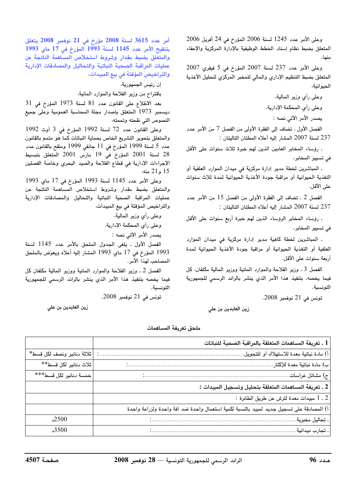وعلى الأمر عدد 1245 لسنة 2006 المؤرخ في 24 أفريل 2006 المتعلق بضبط نظام إسناد الخطط الوظيفية بالإدارة المركزية والإعفاء منها،

وعلى الأمر عدد 237 لسنة 2007 المؤرخ في 5 فيفري 2007 المتعلق بضبط التنظيم الإداري والمالى للمخبر المركزي لتحليل الأغذية الحيوانية،

وعلى رأى وزير المالية.

وعلى رأى المحكمة الإدارية.

يصدر الأمر الآتي نصه :

الفصل الأول . تضاف إلى الفقرة الأولى من الفصل 7 من الأمر عدد 237 لسنة 2007 المشار إليه أعلاه المطتان التاليتان :

. رؤساء المخابر العامين الذين لهم خبرة ثلاث سنوات على الأقل في تسيير المخابر،

. المباشرين لخطة مدير إدارة مركزية في ميدان الموارد العلفية أو التغذية الحيوانية أو مراقبة جودة الأغذية الحيوانية لمدة ثلاث سنوات على الأقل.

الفصل 2 ـ تضاف إلى الفقرة الأولى من الفصل 15 من الأمر عدد 237 لسنة 2007 المشار إليه أعلاه المطتان التاليتان :

. رؤساء المخابر الرؤساء الذين لهم خبرة أربع سنوات على الأقل في تسيير المخابر،

۔ المباشرين لخطة كاهية مدير إدارة مركزية في ميدان الموارد العلفية أو التغذية الحيوانية أو مراقبة جودة الأغذية الحيوانية لمدة أربعة سنوات على الأقل.

الفصل 3 ـ وزير الفلاحة والموارد المائية ووزير المالية مكلفان، كل فيما يخصه، بتنفيذ هذا الأمر الذى ينشر بالرائد الرسمى للجمهورية التونسية.

تونس في 21 نوفمبر 2008.

زين العابدين بن علي

أمر عدد 3615 لسنة 2008 مؤرخ في 21 نوفمبر 2008 يتعلق بتنقيح الأمر عدد 1145 لسنة 1993 آلمؤرخ في 17 ماي 1993 والمتعلق بضبط مقدار وشروط استخلاص المساهمة الناتجة عن عمليات المراقبة الصحية النباتية والتحاليل والمصادقات الإدارية والتراخيص المؤقتة في بيع المبيدات.

إن رئيس الجمهورية،

باقتراح من وزير الفلاحة والموارد المائية،

بعد الاطلاع على القانون عدد 81 لسنة 1973 المؤرخ في 31 ديسمبر 1973 المتعلق بإصدار مجلة المحاسبة العمومية وعلى جميع النصوص التى نقحته وتممته،

وعلى القانون عدد 72 لسنة 1992 المؤرخ في 3 أوت 1992 والمتعلق بتحوير التشريع الخاص بحماية النباتات كما هو متمم بالقانون عدد 5 لسنة 1999 المؤرخ في 11 جانفي 1999 ومنقح بالقانون عدد 28 لسنة 2001 المؤرخ في 19 مارس 2001 المتعلق بتبسيط الإجراءات الإدارية في قطاع الفلاحة والصيد البحري وخاصة الفصلين 15 و21 منه،

وعلى الأمر عدد 1145 لسنة 1993 المؤرخ في 17 ماي 1993 والمتعلق بضبط مقدار وشروط استخلاص المساهمة الناتجة عن عمليات المراقبة الصحية النباتية والتحاليل والمصادقات الإدارية والتراخيص المؤقتة في بيع المبيدات،

> وعلى رأى وزير المالية. وعلى رأى المحكمة الإدارية.

يصدر الأمر الآتي نصه :

الفصل الأول . يلغى الجدول الملحق بالأمر عدد 1145 لسنة 1993 المؤرخ في 17 ماي 1993 المشار إليه أعلاه ويعوِّض بالملحق المصاحب لهذا الأمر.

الفصل 2 ـ وزير الفلاحة والموارد المائية ووزير المالية مكلفان كل فيما يخصه بتنفيذ هذا الأمر الذي ينشر بالرائد الرسمى للجمهورية التونسية.

تونس في 21 نوفمبر 2008.

زين العابدين بن على

ملحق تعريفة المساهمات

|                            | 1 ـ تعريفة المساهمات المتعلقة بالمراقبة الصحية للنباتات                                 |
|----------------------------|-----------------------------------------------------------------------------------------|
| ثلاثة دنانير ونصف لكل قسط* | أ) مادة نباتية معدة للاستهلاك أو للتحويل                                                |
| ثلاث دنانير لكل قسط**      | ب) مادة نباتية معدة للإكثار                                                             |
| خمسة دنانير لكل قسط***     |                                                                                         |
|                            | 2 ـ تعريفة المساهمات المتعلقة بتحليل وتسجيل المبيدات :                                  |
|                            | 2 ـ 1 مبيدات معدة للرش عن طريق الطائرة :                                                |
|                            | أ) المصادقة على تسجيل جديد لمبيد بالنسبة لكمية استعمال واحدة ضد آفة واحدة ولزراعة واحدة |
| .2500                      | . تحاليل مخبرية                                                                         |
| .3500                      | ۔ تجارب میدانیة.                                                                        |